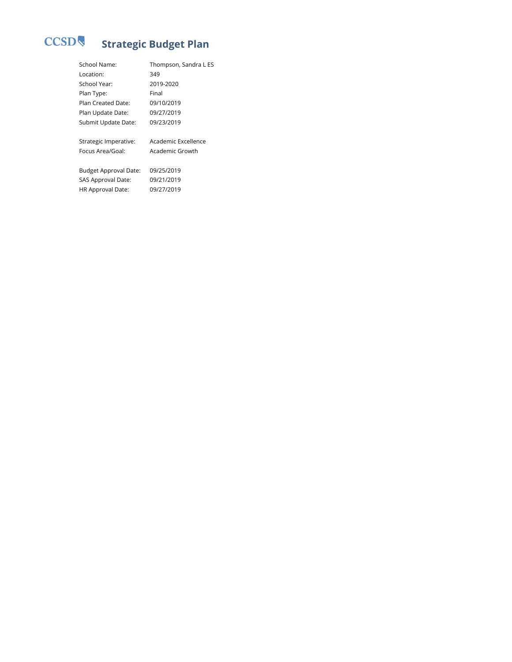# CCSD **Strategic Budget Plan**

| School Name:          | Thompson, Sandra L ES |
|-----------------------|-----------------------|
| Location:             | 349                   |
| School Year:          | 2019-2020             |
| Plan Type:            | Final                 |
| Plan Created Date:    | 09/10/2019            |
| Plan Update Date:     | 09/27/2019            |
| Submit Update Date:   | 09/23/2019            |
|                       |                       |
| Strategic Imperative: | Academic Excellence   |
| Focus Area/Goal:      | Academic Growth       |
|                       |                       |
| Budget Approval Date: | 09/25/2019            |
| SAS Approval Date:    | 09/21/2019            |
| HR Approval Date:     | 09/27/2019            |
|                       |                       |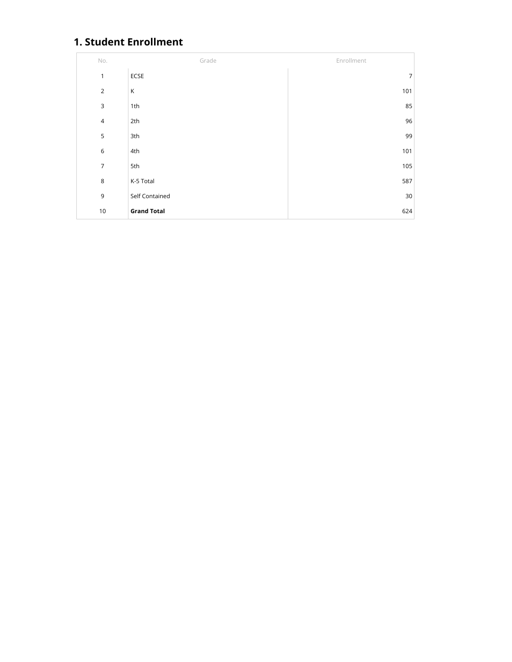# **1. Student Enrollment**

| No.            | Grade              | Enrollment |
|----------------|--------------------|------------|
| $\mathbf{1}$   | ECSE               | 7          |
| $\overline{2}$ | К                  | 101        |
| 3              | 1th                | 85         |
| $\sqrt{4}$     | 2th                | 96         |
| 5              | 3th                | 99         |
| $\,$ 6         | 4th                | 101        |
| $\overline{7}$ | 5th                | 105        |
| 8              | K-5 Total          | 587        |
| 9              | Self Contained     | 30         |
| $10$           | <b>Grand Total</b> | 624        |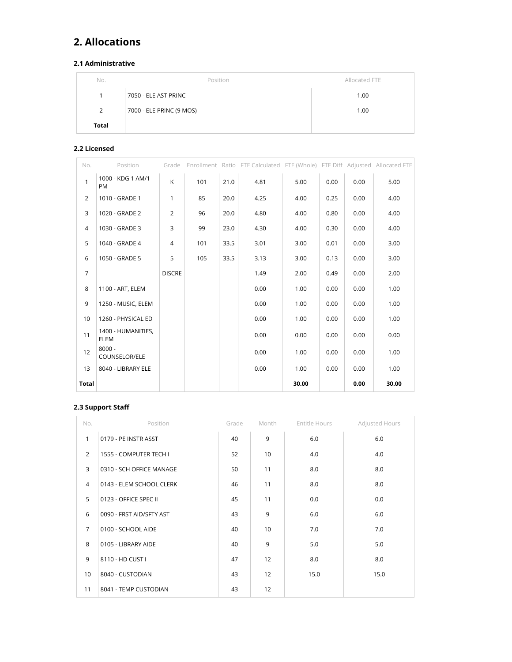# **2. Allocations**

## **2.1 Administrative**

| No.          | Position                 | Allocated FTE |
|--------------|--------------------------|---------------|
|              | 7050 - ELE AST PRINC     | 1.00          |
| 2            | 7000 - ELE PRINC (9 MOS) | 1.00          |
| <b>Total</b> |                          |               |

#### **2.2 Licensed**

| No.            | Position                          | Grade          |     |      | Enrollment Ratio FTE Calculated FTE (Whole) FTE Diff Adjusted Allocated FTE |       |      |      |       |
|----------------|-----------------------------------|----------------|-----|------|-----------------------------------------------------------------------------|-------|------|------|-------|
| $\mathbf{1}$   | 1000 - KDG 1 AM/1<br><b>PM</b>    | K              | 101 | 21.0 | 4.81                                                                        | 5.00  | 0.00 | 0.00 | 5.00  |
| $\overline{2}$ | 1010 - GRADE 1                    | 1              | 85  | 20.0 | 4.25                                                                        | 4.00  | 0.25 | 0.00 | 4.00  |
| 3              | 1020 - GRADE 2                    | $\overline{2}$ | 96  | 20.0 | 4.80                                                                        | 4.00  | 0.80 | 0.00 | 4.00  |
| 4              | 1030 - GRADE 3                    | 3              | 99  | 23.0 | 4.30                                                                        | 4.00  | 0.30 | 0.00 | 4.00  |
| 5              | 1040 - GRADE 4                    | 4              | 101 | 33.5 | 3.01                                                                        | 3.00  | 0.01 | 0.00 | 3.00  |
| 6              | 1050 - GRADE 5                    | 5              | 105 | 33.5 | 3.13                                                                        | 3.00  | 0.13 | 0.00 | 3.00  |
| $\overline{7}$ |                                   | <b>DISCRE</b>  |     |      | 1.49                                                                        | 2.00  | 0.49 | 0.00 | 2.00  |
| 8              | 1100 - ART, ELEM                  |                |     |      | 0.00                                                                        | 1.00  | 0.00 | 0.00 | 1.00  |
| 9              | 1250 - MUSIC, ELEM                |                |     |      | 0.00                                                                        | 1.00  | 0.00 | 0.00 | 1.00  |
| 10             | 1260 - PHYSICAL ED                |                |     |      | 0.00                                                                        | 1.00  | 0.00 | 0.00 | 1.00  |
| 11             | 1400 - HUMANITIES,<br><b>ELEM</b> |                |     |      | 0.00                                                                        | 0.00  | 0.00 | 0.00 | 0.00  |
| 12             | $8000 -$<br>COUNSELOR/ELE         |                |     |      | 0.00                                                                        | 1.00  | 0.00 | 0.00 | 1.00  |
| 13             | 8040 - LIBRARY ELE                |                |     |      | 0.00                                                                        | 1.00  | 0.00 | 0.00 | 1.00  |
| <b>Total</b>   |                                   |                |     |      |                                                                             | 30.00 |      | 0.00 | 30.00 |

## **2.3 Support Sta**

| No.            | Position                 | Grade | Month | Entitle Hours | Adjusted Hours |
|----------------|--------------------------|-------|-------|---------------|----------------|
| $\mathbf{1}$   | 0179 - PE INSTR ASST     | 40    | 9     | 6.0           | 6.0            |
| $\overline{2}$ | 1555 - COMPUTER TECH I   | 52    | 10    | 4.0           | 4.0            |
| 3              | 0310 - SCH OFFICE MANAGE | 50    | 11    | 8.0           | 8.0            |
| $\overline{4}$ | 0143 - ELEM SCHOOL CLERK | 46    | 11    | 8.0           | 8.0            |
| 5              | 0123 - OFFICE SPEC II    | 45    | 11    | 0.0           | 0.0            |
| 6              | 0090 - FRST AID/SFTY AST | 43    | 9     | 6.0           | 6.0            |
| $\overline{7}$ | 0100 - SCHOOL AIDE       | 40    | 10    | 7.0           | 7.0            |
| 8              | 0105 - LIBRARY AIDE      | 40    | 9     | 5.0           | 5.0            |
| 9              | 8110 - HD CUST I         | 47    | 12    | 8.0           | 8.0            |
| 10             | 8040 - CUSTODIAN         | 43    | 12    | 15.0          | 15.0           |
| 11             | 8041 - TEMP CUSTODIAN    | 43    | 12    |               |                |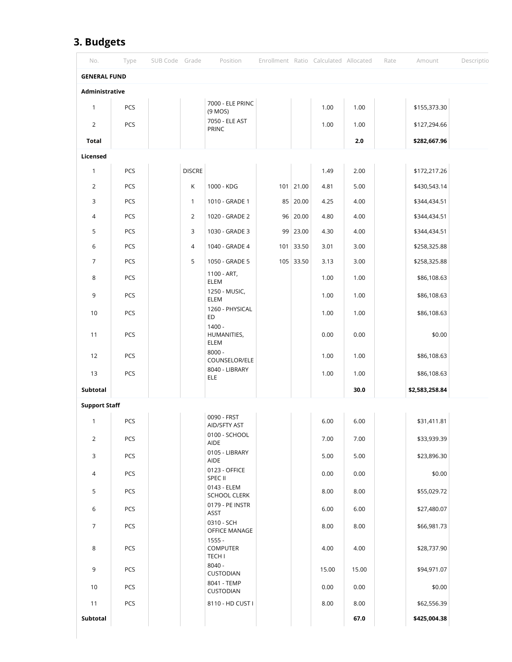# **3. Budgets**

| No.                  | Type | SUB Code Grade |               | Position                                     |     |             | Enrollment Ratio Calculated Allocated |       | Rate | Amount         | Descriptio |
|----------------------|------|----------------|---------------|----------------------------------------------|-----|-------------|---------------------------------------|-------|------|----------------|------------|
| <b>GENERAL FUND</b>  |      |                |               |                                              |     |             |                                       |       |      |                |            |
| Administrative       |      |                |               |                                              |     |             |                                       |       |      |                |            |
| $\mathbf{1}$         | PCS  |                |               | 7000 - ELE PRINC<br>(9 MOS)                  |     |             | 1.00                                  | 1.00  |      | \$155,373.30   |            |
| $\overline{2}$       | PCS  |                |               | 7050 - ELE AST<br>PRINC                      |     |             | 1.00                                  | 1.00  |      | \$127,294.66   |            |
| <b>Total</b>         |      |                |               |                                              |     |             |                                       | 2.0   |      | \$282,667.96   |            |
| Licensed             |      |                |               |                                              |     |             |                                       |       |      |                |            |
| $\mathbf{1}$         | PCS  |                | <b>DISCRE</b> |                                              |     |             | 1.49                                  | 2.00  |      | \$172,217.26   |            |
| $\overline{2}$       | PCS  |                | К             | 1000 - KDG                                   |     | $101$ 21.00 | 4.81                                  | 5.00  |      | \$430,543.14   |            |
| 3                    | PCS  |                | $\mathbf{1}$  | 1010 - GRADE 1                               |     | 85 20.00    | 4.25                                  | 4.00  |      | \$344,434.51   |            |
| 4                    | PCS  |                | 2             | 1020 - GRADE 2                               |     | 96   20.00  | 4.80                                  | 4.00  |      | \$344,434.51   |            |
| 5                    | PCS  |                | 3             | 1030 - GRADE 3                               |     | 99 23.00    | 4.30                                  | 4.00  |      | \$344,434.51   |            |
| 6                    | PCS  |                | 4             | 1040 - GRADE 4                               | 101 | 33.50       | 3.01                                  | 3.00  |      | \$258,325.88   |            |
| $\overline{7}$       | PCS  |                | 5             | 1050 - GRADE 5                               |     | 105 33.50   | 3.13                                  | 3.00  |      | \$258,325.88   |            |
| 8                    | PCS  |                |               | 1100 - ART,<br>ELEM                          |     |             | 1.00                                  | 1.00  |      | \$86,108.63    |            |
| 9                    | PCS  |                |               | 1250 - MUSIC,<br>ELEM                        |     |             | 1.00                                  | 1.00  |      | \$86,108.63    |            |
| 10                   | PCS  |                |               | 1260 - PHYSICAL<br>ED                        |     |             | 1.00                                  | 1.00  |      | \$86,108.63    |            |
| 11                   | PCS  |                |               | $1400 -$<br>HUMANITIES,<br>ELEM              |     |             | 0.00                                  | 0.00  |      | \$0.00         |            |
| 12                   | PCS  |                |               | $8000 -$<br>COUNSELOR/ELE                    |     |             | 1.00                                  | 1.00  |      | \$86,108.63    |            |
| 13                   | PCS  |                |               | 8040 - LIBRARY<br><b>ELE</b>                 |     |             | 1.00                                  | 1.00  |      | \$86,108.63    |            |
| Subtotal             |      |                |               |                                              |     |             |                                       | 30.0  |      | \$2,583,258.84 |            |
| <b>Support Staff</b> |      |                |               |                                              |     |             |                                       |       |      |                |            |
| $\mathbf{1}$         | PCS  |                |               | 0090 - FRST<br>AID/SFTY AST                  |     |             | 6.00                                  | 6.00  |      | \$31,411.81    |            |
| $\overline{2}$       | PCS  |                |               | 0100 - SCHOOL<br>AIDE                        |     |             | 7.00                                  | 7.00  |      | \$33,939.39    |            |
| 3                    | PCS  |                |               | 0105 - LIBRARY<br>AIDE                       |     |             | 5.00                                  | 5.00  |      | \$23,896.30    |            |
| $\overline{4}$       | PCS  |                |               | 0123 - OFFICE<br>SPEC II                     |     |             | 0.00                                  | 0.00  |      | \$0.00         |            |
| 5                    | PCS  |                |               | 0143 - ELEM<br><b>SCHOOL CLERK</b>           |     |             | 8.00                                  | 8.00  |      | \$55,029.72    |            |
| 6                    | PCS  |                |               | 0179 - PE INSTR<br>ASST                      |     |             | 6.00                                  | 6.00  |      | \$27,480.07    |            |
| $\overline{7}$       | PCS  |                |               | 0310 - SCH<br>OFFICE MANAGE                  |     |             | 8.00                                  | 8.00  |      | \$66,981.73    |            |
| 8                    | PCS  |                |               | $1555 -$<br><b>COMPUTER</b><br><b>TECH I</b> |     |             | 4.00                                  | 4.00  |      | \$28,737.90    |            |
| 9                    | PCS  |                |               | $8040 -$<br>CUSTODIAN                        |     |             | 15.00                                 | 15.00 |      | \$94,971.07    |            |
| 10                   | PCS  |                |               | 8041 - TEMP<br>CUSTODIAN                     |     |             | 0.00                                  | 0.00  |      | \$0.00         |            |
| 11                   | PCS  |                |               | 8110 - HD CUST I                             |     |             | 8.00                                  | 8.00  |      | \$62,556.39    |            |
| Subtotal             |      |                |               |                                              |     |             |                                       | 67.0  |      | \$425,004.38   |            |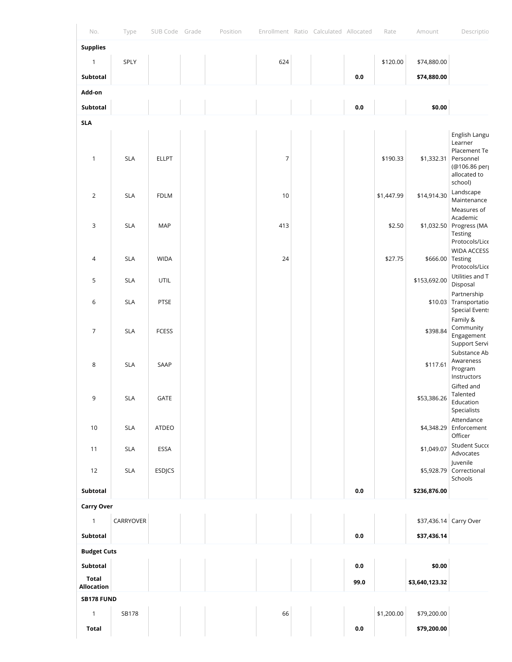| No.                        | Type       | SUB Code Grade | Position | Enrollment Ratio Calculated Allocated |  |         | Rate       | Amount                 | Descriptio                                                                                       |
|----------------------------|------------|----------------|----------|---------------------------------------|--|---------|------------|------------------------|--------------------------------------------------------------------------------------------------|
| <b>Supplies</b>            |            |                |          |                                       |  |         |            |                        |                                                                                                  |
| $\mathbf{1}$               | SPLY       |                |          | 624                                   |  |         | \$120.00   | \$74,880.00            |                                                                                                  |
| Subtotal                   |            |                |          |                                       |  | 0.0     |            | \$74,880.00            |                                                                                                  |
| Add-on                     |            |                |          |                                       |  |         |            |                        |                                                                                                  |
| Subtotal                   |            |                |          |                                       |  | $0.0\,$ |            | \$0.00                 |                                                                                                  |
| <b>SLA</b>                 |            |                |          |                                       |  |         |            |                        |                                                                                                  |
| $\mathbf{1}$               | <b>SLA</b> | <b>ELLPT</b>   |          | $\overline{7}$                        |  |         | \$190.33   | \$1,332.31             | English Langu<br>Learner<br>Placement Te<br>Personnel<br>(@106.86 per<br>allocated to<br>school) |
| $\overline{2}$             | <b>SLA</b> | <b>FDLM</b>    |          | 10                                    |  |         | \$1,447.99 | \$14,914.30            | Landscape<br>Maintenance<br>Measures of                                                          |
| 3                          | <b>SLA</b> | MAP            |          | 413                                   |  |         | \$2.50     |                        | Academic<br>\$1,032.50 Progress (MA<br>Testing<br>Protocols/Lice                                 |
| $\sqrt{4}$                 | <b>SLA</b> | <b>WIDA</b>    |          | 24                                    |  |         | \$27.75    | \$666.00 Testing       | <b>WIDA ACCESS</b><br>Protocols/Lice                                                             |
| 5                          | <b>SLA</b> | UTIL           |          |                                       |  |         |            | \$153,692.00           | Utilities and T<br>Disposal<br>Partnership                                                       |
| 6                          | <b>SLA</b> | PTSE           |          |                                       |  |         |            |                        | \$10.03 Transportatio<br><b>Special Events</b><br>Family &                                       |
| $\overline{7}$             | <b>SLA</b> | <b>FCESS</b>   |          |                                       |  |         |            | \$398.84               | Community<br>Engagement<br>Support Servi                                                         |
| 8                          | <b>SLA</b> | SAAP           |          |                                       |  |         |            | \$117.61               | Substance Ab<br>Awareness<br>Program<br>Instructors<br>Gifted and                                |
| 9                          | <b>SLA</b> | GATE           |          |                                       |  |         |            | \$53,386.26            | Talented<br>Education<br>Specialists                                                             |
| $10$                       | <b>SLA</b> | ATDEO          |          |                                       |  |         |            | \$4,348.29 Enforcement | Attendance<br>Officer                                                                            |
| 11                         | $SLA$      | ESSA           |          |                                       |  |         |            | \$1,049.07             | Student Succe<br>Advocates<br>Juvenile                                                           |
| 12                         | <b>SLA</b> | <b>ESDJCS</b>  |          |                                       |  |         |            |                        | \$5,928.79 Correctional<br>Schools                                                               |
| Subtotal                   |            |                |          |                                       |  | 0.0     |            | \$236,876.00           |                                                                                                  |
| <b>Carry Over</b>          |            |                |          |                                       |  |         |            |                        |                                                                                                  |
| $\mathbf{1}$               | CARRYOVER  |                |          |                                       |  |         |            | \$37,436.14 Carry Over |                                                                                                  |
| Subtotal                   |            |                |          |                                       |  | $0.0\,$ |            | \$37,436.14            |                                                                                                  |
| <b>Budget Cuts</b>         |            |                |          |                                       |  |         |            |                        |                                                                                                  |
| Subtotal                   |            |                |          |                                       |  | $0.0\,$ |            | \$0.00                 |                                                                                                  |
| <b>Total</b><br>Allocation |            |                |          |                                       |  | 99.0    |            | \$3,640,123.32         |                                                                                                  |
| <b>SB178 FUND</b>          |            |                |          |                                       |  |         |            |                        |                                                                                                  |
| $\mathbf{1}$               | SB178      |                |          | 66                                    |  |         | \$1,200.00 | \$79,200.00            |                                                                                                  |
|                            |            |                |          |                                       |  |         |            |                        |                                                                                                  |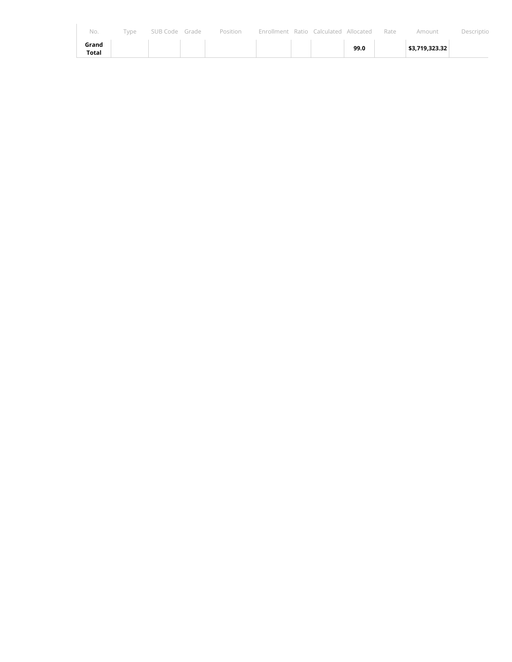| No.            | Type | SUB Code Grade | Position | Enrollment | Ratio Calculated Allocated |      | Rate | Amount         | Descriptio |
|----------------|------|----------------|----------|------------|----------------------------|------|------|----------------|------------|
| Grand<br>Total |      |                |          |            |                            | 99.0 |      | \$3,719,323.32 |            |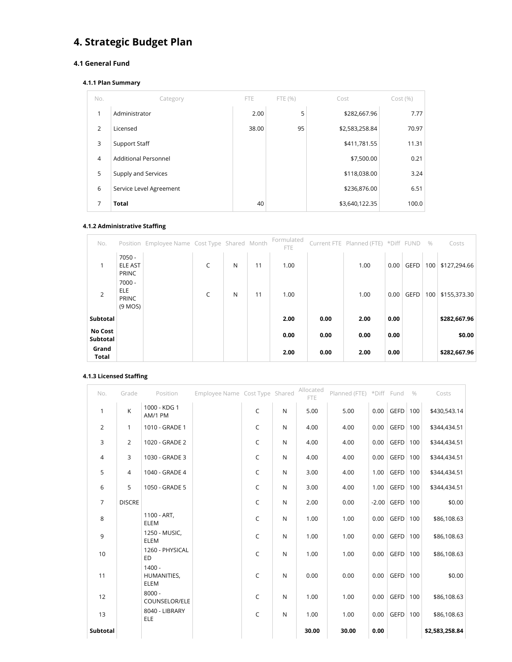# **4. Strategic Budget Plan**

### **4.1 General Fund**

#### **4.1.1 Plan Summary**

| No.          | Category                    | <b>FTE</b> | FTE (%) | Cost           | Cost(%) |
|--------------|-----------------------------|------------|---------|----------------|---------|
| $\mathbf{1}$ | Administrator               | 2.00       | 5       | \$282,667.96   | 7.77    |
| 2            | Licensed                    | 38.00      | 95      | \$2,583,258.84 | 70.97   |
| 3            | Support Staff               |            |         | \$411,781.55   | 11.31   |
| 4            | <b>Additional Personnel</b> |            |         | \$7,500.00     | 0.21    |
| 5            | Supply and Services         |            |         | \$118,038.00   | 3.24    |
| 6            | Service Level Agreement     |            |         | \$236,876.00   | 6.51    |
| 7            | <b>Total</b>                | 40         |         | \$3,640,122.35 | 100.0   |

## **4.1.2 Administrative Staffing**

| No.                        |                                                     | Position Employee Name Cost Type Shared Month |   |   |    | Formulated<br><b>FTE</b> |      | Current FTE Planned (FTE) *Diff FUND |      |      | $\%$ | Costs        |
|----------------------------|-----------------------------------------------------|-----------------------------------------------|---|---|----|--------------------------|------|--------------------------------------|------|------|------|--------------|
| $\mathbf{1}$               | $7050 -$<br><b>ELE AST</b><br>PRINC                 |                                               | C | N | 11 | 1.00                     |      | 1.00                                 | 0.00 | GEFD | 100  | \$127,294.66 |
| 2                          | $7000 -$<br><b>ELE</b><br><b>PRINC</b><br>$(9$ MOS) |                                               | C | N | 11 | 1.00                     |      | 1.00                                 | 0.00 | GEFD | 100  | \$155,373.30 |
| Subtotal                   |                                                     |                                               |   |   |    | 2.00                     | 0.00 | 2.00                                 | 0.00 |      |      | \$282,667.96 |
| <b>No Cost</b><br>Subtotal |                                                     |                                               |   |   |    | 0.00                     | 0.00 | 0.00                                 | 0.00 |      |      | \$0.00       |
| Grand<br><b>Total</b>      |                                                     |                                               |   |   |    | 2.00                     | 0.00 | 2.00                                 | 0.00 |      |      | \$282,667.96 |

#### **4.1.3 Licensed Staffing**

| No.            | Grade          | Position                        | Employee Name Cost Type Shared |              |   | Allocated<br><b>FTE</b> | Planned (FTE) *Diff Fund |      |              | $\%$ | Costs          |
|----------------|----------------|---------------------------------|--------------------------------|--------------|---|-------------------------|--------------------------|------|--------------|------|----------------|
| $\mathbf{1}$   | K              | 1000 - KDG 1<br>AM/1 PM         |                                | $\mathsf C$  | N | 5.00                    | 5.00                     | 0.00 | GEFD   100   |      | \$430,543.14   |
| $\overline{2}$ | $\mathbf{1}$   | 1010 - GRADE 1                  |                                | $\mathsf C$  | N | 4.00                    | 4.00                     | 0.00 | GEFD         | 100  | \$344,434.51   |
| 3              | $\overline{2}$ | 1020 - GRADE 2                  |                                | $\mathsf{C}$ | N | 4.00                    | 4.00                     | 0.00 | GEFD         | 100  | \$344,434.51   |
| 4              | 3              | 1030 - GRADE 3                  |                                | $\mathsf{C}$ | N | 4.00                    | 4.00                     | 0.00 | GEFD         | 100  | \$344,434.51   |
| 5              | $\overline{4}$ | 1040 - GRADE 4                  |                                | C            | N | 3.00                    | 4.00                     | 1.00 | GEFD   100   |      | \$344,434.51   |
| 6              | 5              | 1050 - GRADE 5                  |                                | $\mathsf{C}$ | N | 3.00                    | 4.00                     | 1.00 | GEFD         | 100  | \$344,434.51   |
| $\overline{7}$ | <b>DISCRE</b>  |                                 |                                | $\mathsf{C}$ | N | 2.00                    | 0.00                     |      | $-2.00$ GEFD | 100  | \$0.00         |
| 8              |                | 1100 - ART,<br>ELEM             |                                | $\mathsf{C}$ | N | 1.00                    | 1.00                     | 0.00 | GEFD         | 100  | \$86,108.63    |
| 9              |                | 1250 - MUSIC,<br>ELEM           |                                | $\mathsf{C}$ | N | 1.00                    | 1.00                     | 0.00 | GEFD         | 100  | \$86,108.63    |
| 10             |                | 1260 - PHYSICAL<br><b>ED</b>    |                                | $\mathsf{C}$ | N | 1.00                    | 1.00                     | 0.00 | GEFD         | 100  | \$86,108.63    |
| 11             |                | $1400 -$<br>HUMANITIES,<br>ELEM |                                | $\mathsf{C}$ | N | 0.00                    | 0.00                     | 0.00 | $GEFD$ 100   |      | \$0.00         |
| 12             |                | $8000 -$<br>COUNSELOR/ELE       |                                | $\mathsf{C}$ | N | 1.00                    | 1.00                     | 0.00 | GEFD         | 100  | \$86,108.63    |
| 13             |                | 8040 - LIBRARY<br>ELE           |                                | $\mathsf{C}$ | N | 1.00                    | 1.00                     | 0.00 | GEFD         | 100  | \$86,108.63    |
| Subtotal       |                |                                 |                                |              |   | 30.00                   | 30.00                    | 0.00 |              |      | \$2,583,258.84 |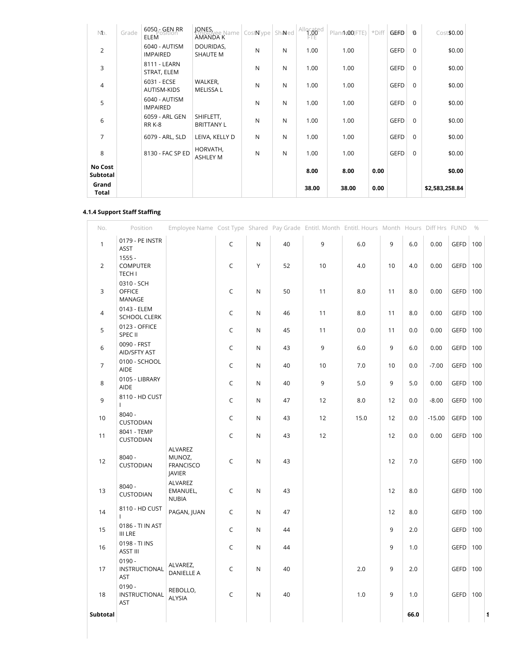| Nb.                 | Grade | 6050 - GEN RR<br>osition<br>ELEM | JONES,<br><b>AHUJOVee Name</b>  <br><b>AMANDA K</b> | CostNype     | Shaned | Allocated | Planne00(FTE) | *Diff | GEFD        | Ø           | Cost\$0.00     |
|---------------------|-------|----------------------------------|-----------------------------------------------------|--------------|--------|-----------|---------------|-------|-------------|-------------|----------------|
| 2                   |       | 6040 - AUTISM<br><b>IMPAIRED</b> | DOURIDAS,<br><b>SHAUTE M</b>                        | $\mathsf{N}$ | N      | 1.00      | 1.00          |       | <b>GEFD</b> | $\Omega$    | \$0.00         |
| 3                   |       | 8111 - LEARN<br>STRAT, ELEM      |                                                     | $\mathsf{N}$ | N      | 1.00      | 1.00          |       | <b>GEFD</b> | $\Omega$    | \$0.00         |
| $\overline{4}$      |       | 6031 - ECSE<br>AUTISM-KIDS       | WALKER,<br><b>MELISSA L</b>                         | N            | N      | 1.00      | 1.00          |       | <b>GEFD</b> | $\mathbf 0$ | \$0.00         |
| 5                   |       | 6040 - AUTISM<br><b>IMPAIRED</b> |                                                     | $\mathsf{N}$ | N      | 1.00      | 1.00          |       | <b>GEFD</b> | $\mathbf 0$ | \$0.00         |
| 6                   |       | 6059 - ARL GEN<br><b>RR K-8</b>  | SHIFLETT,<br><b>BRITTANY L</b>                      | $\mathsf{N}$ | N      | 1.00      | 1.00          |       | <b>GEFD</b> | $\Omega$    | \$0.00         |
| 7                   |       | 6079 - ARL, SLD                  | LEIVA, KELLY D                                      | N            | N      | 1.00      | 1.00          |       | <b>GEFD</b> | $\mathbf 0$ | \$0.00         |
| 8                   |       | 8130 - FAC SP ED                 | HORVATH,<br><b>ASHLEY M</b>                         | $\mathsf{N}$ | N      | 1.00      | 1.00          |       | <b>GEFD</b> | $\Omega$    | \$0.00         |
| No Cost<br>Subtotal |       |                                  |                                                     |              |        | 8.00      | 8.00          | 0.00  |             |             | \$0.00         |
| Grand<br>Total      |       |                                  |                                                     |              |        | 38.00     | 38.00         | 0.00  |             |             | \$2,583,258.84 |

#### **4.1.4 Support Staff Staffing**

| No.             | Position                                     | Employee Name Cost Type Shared Pay Grade Entitl. Month Entitl. Hours Month Hours Diff Hrs FUND % |              |             |    |    |      |    |      |          |             |     |  |
|-----------------|----------------------------------------------|--------------------------------------------------------------------------------------------------|--------------|-------------|----|----|------|----|------|----------|-------------|-----|--|
| $\mathbf{1}$    | 0179 - PE INSTR<br><b>ASST</b>               |                                                                                                  | $\mathsf{C}$ | $\mathsf N$ | 40 | 9  | 6.0  | 9  | 6.0  | 0.00     | GEFD   100  |     |  |
| $\overline{2}$  | $1555 -$<br><b>COMPUTER</b><br><b>TECH I</b> |                                                                                                  | C            | Υ           | 52 | 10 | 4.0  | 10 | 4.0  | 0.00     | <b>GEFD</b> | 100 |  |
| 3               | 0310 - SCH<br><b>OFFICE</b><br>MANAGE        |                                                                                                  | C            | N           | 50 | 11 | 8.0  | 11 | 8.0  | 0.00     | GEFD        | 100 |  |
| $\overline{4}$  | 0143 - ELEM<br><b>SCHOOL CLERK</b>           |                                                                                                  | C            | N           | 46 | 11 | 8.0  | 11 | 8.0  | 0.00     | GEFD        | 100 |  |
| $5\phantom{.0}$ | 0123 - OFFICE<br>SPEC II                     |                                                                                                  | C            | N           | 45 | 11 | 0.0  | 11 | 0.0  | 0.00     | GEFD        | 100 |  |
| $\,$ 6 $\,$     | 0090 - FRST<br>AID/SFTY AST                  |                                                                                                  | C            | N           | 43 | 9  | 6.0  | 9  | 6.0  | 0.00     | <b>GEFD</b> | 100 |  |
| $\overline{7}$  | 0100 - SCHOOL<br>AIDE                        |                                                                                                  | $\mathsf C$  | N           | 40 | 10 | 7.0  | 10 | 0.0  | $-7.00$  | <b>GEFD</b> | 100 |  |
| 8               | 0105 - LIBRARY<br>AIDE                       |                                                                                                  | C            | N           | 40 | 9  | 5.0  | 9  | 5.0  | 0.00     | <b>GEFD</b> | 100 |  |
| 9               | 8110 - HD CUST<br>$\mathsf{L}$               |                                                                                                  | C            | N           | 47 | 12 | 8.0  | 12 | 0.0  | $-8.00$  | GEFD        | 100 |  |
| 10              | $8040 -$<br>CUSTODIAN                        |                                                                                                  | C            | N           | 43 | 12 | 15.0 | 12 | 0.0  | $-15.00$ | <b>GEFD</b> | 100 |  |
| 11              | 8041 - TEMP<br>CUSTODIAN                     |                                                                                                  | C            | N           | 43 | 12 |      | 12 | 0.0  | 0.00     | <b>GEFD</b> | 100 |  |
| 12              | $8040 -$<br>CUSTODIAN                        | <b>ALVAREZ</b><br>MUNOZ,<br><b>FRANCISCO</b><br><b>JAVIER</b>                                    | C            | ${\sf N}$   | 43 |    |      | 12 | 7.0  |          | GEFD        | 100 |  |
| 13              | $8040 -$<br><b>CUSTODIAN</b>                 | <b>ALVAREZ</b><br>EMANUEL,<br><b>NUBIA</b>                                                       | C            | ${\sf N}$   | 43 |    |      | 12 | 8.0  |          | GEFD        | 100 |  |
| 14              | 8110 - HD CUST<br>T                          | PAGAN, JUAN                                                                                      | C            | N           | 47 |    |      | 12 | 8.0  |          | GEFD        | 100 |  |
| 15              | 0186 - TI IN AST<br><b>III LRE</b>           |                                                                                                  | C            | N           | 44 |    |      | 9  | 2.0  |          | GEFD        | 100 |  |
| 16              | 0198 - TI INS<br>ASST III                    |                                                                                                  | C            | N           | 44 |    |      | 9  | 1.0  |          | <b>GEFD</b> | 100 |  |
| 17              | $0190 -$<br>INSTRUCTIONAL<br>AST             | ALVAREZ,<br><b>DANIELLE A</b>                                                                    | C            | ${\sf N}$   | 40 |    | 2.0  | 9  | 2.0  |          | GEFD        | 100 |  |
| 18              | $0190 -$<br>INSTRUCTIONAL<br><b>AST</b>      | REBOLLO,<br>ALYSIA                                                                               | $\mathsf C$  | N           | 40 |    | 1.0  | 9  | 1.0  |          | <b>GEFD</b> | 100 |  |
| Subtotal        |                                              |                                                                                                  |              |             |    |    |      |    | 66.0 |          |             |     |  |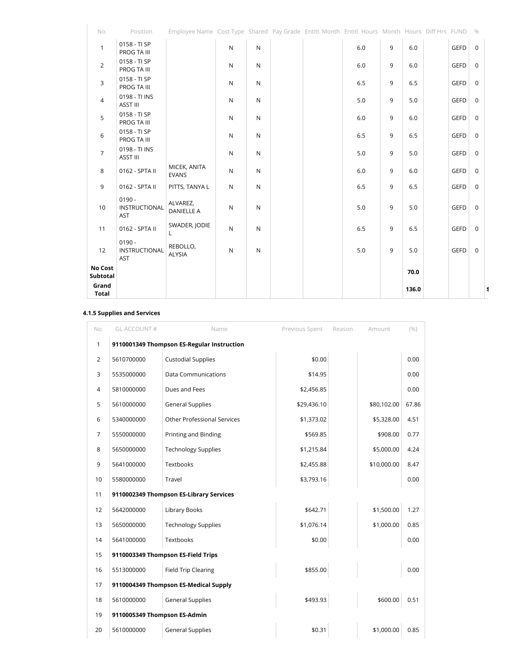| No.                   | Position                                | Employee Name Cost Type Shared Pay Grade Entitl. Month Entitl. Hours Month Hours Diff Hrs FUND |              |              |  |     |   |       |             | $\%$        |   |
|-----------------------|-----------------------------------------|------------------------------------------------------------------------------------------------|--------------|--------------|--|-----|---|-------|-------------|-------------|---|
| $\mathbf{1}$          | 0158 - TI SP<br>PROG TA III             |                                                                                                | $\mathsf{N}$ | ${\sf N}$    |  | 6.0 | 9 | 6.0   | <b>GEFD</b> | $\mathbf 0$ |   |
| $\overline{2}$        | 0158 - TI SP<br>PROG TA III             |                                                                                                | N            | $\mathsf{N}$ |  | 6.0 | 9 | 6.0   | <b>GEFD</b> | $\mathbf 0$ |   |
| $\mathbf{3}$          | 0158 - TI SP<br>PROG TA III             |                                                                                                | ${\sf N}$    | ${\sf N}$    |  | 6.5 | 9 | 6.5   | GEFD        | $\mathbf 0$ |   |
| $\overline{4}$        | 0198 - TI INS<br>ASST III               |                                                                                                | ${\sf N}$    | ${\sf N}$    |  | 5.0 | 9 | 5.0   | <b>GEFD</b> | $\mathbf 0$ |   |
| 5                     | 0158 - TI SP<br>PROG TA III             |                                                                                                | ${\sf N}$    | ${\sf N}$    |  | 6.0 | 9 | 6.0   | <b>GEFD</b> | $\mathbf 0$ |   |
| 6                     | 0158 - TI SP<br>PROG TA III             |                                                                                                | $\mathsf{N}$ | ${\sf N}$    |  | 6.5 | 9 | 6.5   | <b>GEFD</b> | $\mathbf 0$ |   |
| $\overline{7}$        | 0198 - TI INS<br>ASST III               |                                                                                                | N            | ${\sf N}$    |  | 5.0 | 9 | 5.0   | <b>GEFD</b> | $\mathbf 0$ |   |
| $\,8\,$               | 0162 - SPTA II                          | MICEK, ANITA<br><b>EVANS</b>                                                                   | ${\sf N}$    | ${\sf N}$    |  | 6.0 | 9 | 6.0   | <b>GEFD</b> | $\mathbf 0$ |   |
| 9                     | 0162 - SPTA II                          | PITTS, TANYA L                                                                                 | ${\sf N}$    | ${\sf N}$    |  | 6.5 | 9 | 6.5   | GEFD        | $\mathbf 0$ |   |
| 10                    | $0190 -$<br>INSTRUCTIONAL<br>AST        | ALVAREZ,<br><b>DANIELLE A</b>                                                                  | ${\sf N}$    | ${\sf N}$    |  | 5.0 | 9 | 5.0   | <b>GEFD</b> | $\mathbf 0$ |   |
| 11                    | 0162 - SPTA II                          | SWADER, JODIE<br>L.                                                                            | ${\sf N}$    | ${\sf N}$    |  | 6.5 | 9 | 6.5   | <b>GEFD</b> | $\mathbf 0$ |   |
| 12                    | $0190 -$<br>INSTRUCTIONAL<br><b>AST</b> | REBOLLO,<br>ALYSIA                                                                             | ${\sf N}$    | ${\sf N}$    |  | 5.0 | 9 | 5.0   | <b>GEFD</b> | $\mathbf 0$ |   |
| No Cost<br>Subtotal   |                                         |                                                                                                |              |              |  |     |   | 70.0  |             |             |   |
| Grand<br><b>Total</b> |                                         |                                                                                                |              |              |  |     |   | 136.0 |             |             | 1 |

#### **4.1.5 Supplies and Services**

| No.            | GL ACCOUNT#                  | Name                                       | Previous Spent | Reason | Amount      | (% )  |
|----------------|------------------------------|--------------------------------------------|----------------|--------|-------------|-------|
| 1              |                              | 9110001349 Thompson ES-Regular Instruction |                |        |             |       |
| $\overline{2}$ | 5610700000                   | <b>Custodial Supplies</b>                  | \$0.00         |        |             | 0.00  |
| 3              | 5535000000                   | <b>Data Communications</b>                 | \$14.95        |        |             | 0.00  |
| $\overline{4}$ | 5810000000                   | Dues and Fees                              | \$2,456.85     |        |             | 0.00  |
| 5              | 5610000000                   | <b>General Supplies</b>                    | \$29,436.10    |        | \$80,102.00 | 67.86 |
| 6              | 5340000000                   | <b>Other Professional Services</b>         | \$1,373.02     |        | \$5,328.00  | 4.51  |
| $\overline{7}$ | 5550000000                   | Printing and Binding                       | \$569.85       |        | \$908.00    | 0.77  |
| 8              | 5650000000                   | <b>Technology Supplies</b>                 | \$1,215.84     |        | \$5,000.00  | 4.24  |
| 9              | 5641000000                   | Textbooks                                  | \$2,455.88     |        | \$10,000.00 | 8.47  |
| 10             | 5580000000                   | Travel                                     | \$3,793.16     |        |             | 0.00  |
| 11             |                              | 9110002349 Thompson ES-Library Services    |                |        |             |       |
| 12             | 5642000000                   | Library Books                              | \$642.71       |        | \$1,500.00  | 1.27  |
| 13             | 5650000000                   | <b>Technology Supplies</b>                 | \$1,076.14     |        | \$1,000.00  | 0.85  |
| 14             | 5641000000                   | Textbooks                                  | \$0.00         |        |             | 0.00  |
| 15             |                              | 9110003349 Thompson ES-Field Trips         |                |        |             |       |
| 16             | 5513000000                   | <b>Field Trip Clearing</b>                 | \$855.00       |        |             | 0.00  |
| 17             |                              | 9110004349 Thompson ES-Medical Supply      |                |        |             |       |
| 18             | 5610000000                   | <b>General Supplies</b>                    | \$493.93       |        | \$600.00    | 0.51  |
| 19             | 9110005349 Thompson ES-Admin |                                            |                |        |             |       |
| 20             | 5610000000                   | <b>General Supplies</b>                    | \$0.31         |        | \$1,000.00  | 0.85  |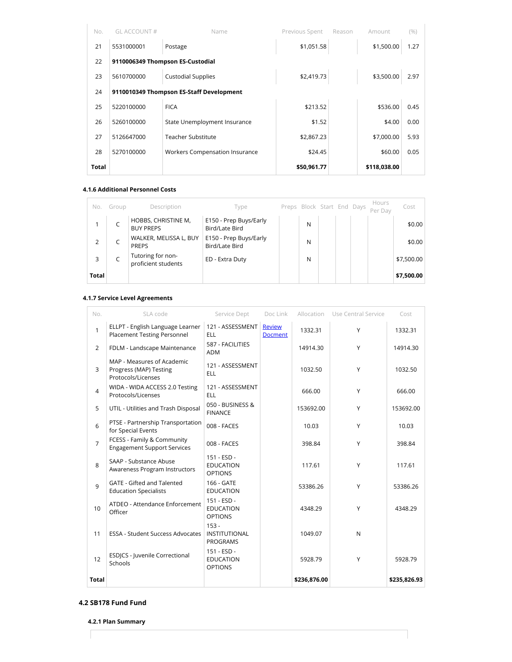| No.   | GL ACCOUNT# | Name                                     | Previous Spent | Reason | Amount       | (%)  |
|-------|-------------|------------------------------------------|----------------|--------|--------------|------|
| 21    | 5531000001  | Postage                                  | \$1,051.58     |        | \$1,500.00   | 1.27 |
| 22    |             | 9110006349 Thompson ES-Custodial         |                |        |              |      |
| 23    | 5610700000  | <b>Custodial Supplies</b>                | \$2,419.73     |        | \$3,500.00   | 2.97 |
| 24    |             | 9110010349 Thompson ES-Staff Development |                |        |              |      |
| 25    | 5220100000  | <b>FICA</b>                              | \$213.52       |        | \$536.00     | 0.45 |
| 26    | 5260100000  | State Unemployment Insurance             | \$1.52         |        | \$4.00       | 0.00 |
| 27    | 5126647000  | <b>Teacher Substitute</b>                | \$2,867.23     |        | \$7,000.00   | 5.93 |
| 28    | 5270100000  | Workers Compensation Insurance           | \$24.45        |        | \$60.00      | 0.05 |
| Total |             |                                          | \$50,961.77    |        | \$118,038.00 |      |

#### **4.1.6 Additional Personnel Costs**

| No.          | Group | Description                              | Type                                     | Preps Block Start End Days |  | Hours<br>Per Day | Cost       |
|--------------|-------|------------------------------------------|------------------------------------------|----------------------------|--|------------------|------------|
|              |       | HOBBS, CHRISTINE M,<br><b>BUY PREPS</b>  | E150 - Prep Buys/Early<br>Bird/Late Bird | N                          |  |                  | \$0.00     |
| 2            |       | WALKER, MELISSA L, BUY<br><b>PREPS</b>   | E150 - Prep Buys/Early<br>Bird/Late Bird | N                          |  |                  | \$0.00     |
| 3            |       | Tutoring for non-<br>proficient students | ED - Extra Duty                          | N                          |  |                  | \$7,500.00 |
| <b>Total</b> |       |                                          |                                          |                            |  |                  | \$7,500.00 |

#### **4.1.7 Service Level Agreements**

| No.            | SLA code                                                                   | Service Dept                                       | Doc Link                 |              | Allocation Use Central Service | Cost         |
|----------------|----------------------------------------------------------------------------|----------------------------------------------------|--------------------------|--------------|--------------------------------|--------------|
| 1              | ELLPT - English Language Learner<br><b>Placement Testing Personnel</b>     | 121 - ASSESSMENT<br><b>ELL</b>                     | Review<br><b>Docment</b> | 1332.31      | Y                              | 1332.31      |
| 2              | FDLM - Landscape Maintenance                                               | 587 - FACILITIES<br><b>ADM</b>                     |                          | 14914.30     | Y                              | 14914.30     |
| 3              | MAP - Measures of Academic<br>Progress (MAP) Testing<br>Protocols/Licenses | 121 - ASSESSMENT<br><b>ELL</b>                     |                          | 1032.50      | Y                              | 1032.50      |
| $\overline{4}$ | WIDA - WIDA ACCESS 2.0 Testing<br>Protocols/Licenses                       | 121 - ASSESSMENT<br><b>ELL</b>                     |                          | 666.00       | Y                              | 666.00       |
| 5              | UTIL - Utilities and Trash Disposal                                        | 050 - BUSINESS &<br><b>FINANCE</b>                 |                          | 153692.00    | Y                              | 153692.00    |
| 6              | PTSE - Partnership Transportation<br>for Special Events                    | 008 - FACES                                        |                          | 10.03        | Y                              | 10.03        |
| $\overline{7}$ | FCESS - Family & Community<br><b>Engagement Support Services</b>           | 008 - FACES                                        |                          | 398.84       | Y                              | 398.84       |
| 8              | SAAP - Substance Abuse<br>Awareness Program Instructors                    | 151 - ESD -<br><b>EDUCATION</b><br><b>OPTIONS</b>  |                          | 117.61       | Y                              | 117.61       |
| 9              | <b>GATE - Gifted and Talented</b><br><b>Education Specialists</b>          | 166 - GATE<br><b>EDUCATION</b>                     |                          | 53386.26     | Y                              | 53386.26     |
| 10             | ATDEO - Attendance Enforcement<br>Officer                                  | 151 - ESD -<br><b>EDUCATION</b><br><b>OPTIONS</b>  |                          | 4348.29      | Y                              | 4348.29      |
| 11             | ESSA - Student Success Advocates                                           | $153 -$<br><b>INSTITUTIONAL</b><br><b>PROGRAMS</b> |                          | 1049.07      | $\mathsf{N}$                   |              |
| 12             | ESDJCS - Juvenile Correctional<br>Schools                                  | 151 - ESD -<br><b>EDUCATION</b><br><b>OPTIONS</b>  |                          | 5928.79      | Y                              | 5928.79      |
| <b>Total</b>   |                                                                            |                                                    |                          | \$236,876.00 |                                | \$235,826.93 |

#### **4.2 SB178 Fund Fund**

**4.2.1 Plan Summary**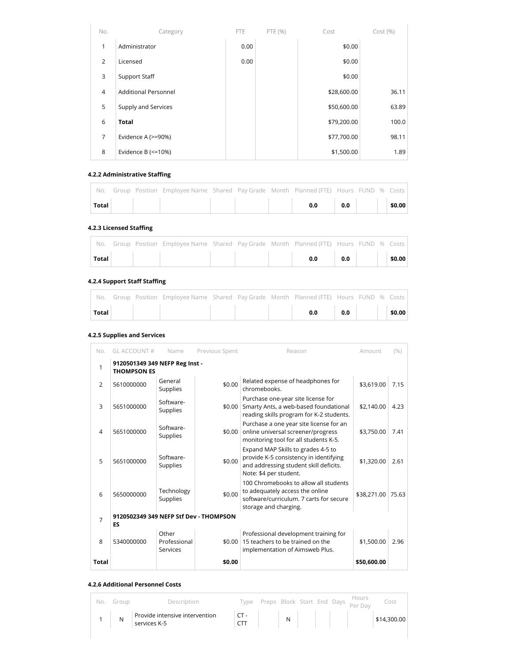| No.            | Category                    | FTE. | FTE (%) | Cost        | Cost(%) |
|----------------|-----------------------------|------|---------|-------------|---------|
| $\mathbf{1}$   | Administrator               | 0.00 |         | \$0.00      |         |
| 2              | Licensed                    | 0.00 |         | \$0.00      |         |
| 3              | Support Staff               |      |         | \$0.00      |         |
| $\overline{4}$ | <b>Additional Personnel</b> |      |         | \$28,600.00 | 36.11   |
| 5              | Supply and Services         |      |         | \$50,600.00 | 63.89   |
| 6              | <b>Total</b>                |      |         | \$79,200.00 | 100.0   |
| 7              | Evidence A (>=90%)          |      |         | \$77,700.00 | 98.11   |
| 8              | Evidence B $(\leq=10\%)$    |      |         | \$1,500.00  | 1.89    |

#### **4.2.2 Administrative Staffing**

|       |  | No. Group Position Employee Name Shared Pay Grade Month Planned (FTE) Hours FUND % Costs |  |                  |  |  |
|-------|--|------------------------------------------------------------------------------------------|--|------------------|--|--|
| Total |  |                                                                                          |  | $0.0$ 0.0 \$0.00 |  |  |

#### **4.2.3 Licensed Staffing**

|       |  | No. Group Position Employee Name Shared Pay Grade Month Planned (FTE) Hours FUND % Costs |  |                  |  |  |
|-------|--|------------------------------------------------------------------------------------------|--|------------------|--|--|
| Total |  |                                                                                          |  | $0.0$ 0.0 \$0.00 |  |  |

#### **4.2.4 Support Staff Staffing**

|              |  | No. Group Position Employee Name Shared Pay Grade Month Planned (FTE) Hours FUND % Costs |  |                                                                             |  |                      |
|--------------|--|------------------------------------------------------------------------------------------|--|-----------------------------------------------------------------------------|--|----------------------|
| <b>Total</b> |  |                                                                                          |  | $\begin{array}{ c c c }\hline \text{o.o} & \text{o.o} & \hline \end{array}$ |  | $\frac{1}{2}$ \$0.00 |

#### **4.2.5 Supplies and Services**

| No.            | GL ACCOUNT#                                          | Name                              | Previous Spent | Reason                                                                                                                                           | Amount      | (9/0) |
|----------------|------------------------------------------------------|-----------------------------------|----------------|--------------------------------------------------------------------------------------------------------------------------------------------------|-------------|-------|
| 1              | 9120501349 349 NEFP Reg Inst -<br><b>THOMPSON ES</b> |                                   |                |                                                                                                                                                  |             |       |
| 2              | 5610000000                                           | General<br><b>Supplies</b>        | \$0.00         | Related expense of headphones for<br>chromebooks.                                                                                                | \$3.619.00  | 7.15  |
| 3              | 5651000000                                           | Software-<br>Supplies             | \$0.00         | Purchase one-year site license for<br>Smarty Ants, a web-based foundational<br>reading skills program for K-2 students.                          | \$2,140.00  | 4.23  |
| $\overline{4}$ | 5651000000                                           | Software-<br>Supplies             | \$0.00         | Purchase a one year site license for an<br>online universal screener/progress<br>monitoring tool for all students K-5.                           | \$3,750.00  | 7.41  |
| 5              | 5651000000                                           | Software-<br>Supplies             | \$0.00         | Expand MAP Skills to grades 4-5 to<br>provide K-5 consistency in identifying<br>and addressing student skill deficits.<br>Note: \$4 per student. | \$1,320.00  | 2.61  |
| 6              | 5650000000                                           | Technology<br>Supplies            | \$0.00         | 100 Chromebooks to allow all students<br>to adequately access the online<br>software/curriculum. 7 carts for secure<br>storage and charging.     | \$38,271.00 | 75.63 |
| 7              | 9120502349 349 NEFP Stf Dev - THOMPSON<br>ES         |                                   |                |                                                                                                                                                  |             |       |
| 8              | 5340000000                                           | Other<br>Professional<br>Services | \$0.00         | Professional development training for<br>15 teachers to be trained on the<br>implementation of Aimsweb Plus.                                     | \$1,500.00  | 2.96  |
| <b>Total</b>   |                                                      |                                   | \$0.00         |                                                                                                                                                  | \$50,600.00 |       |

#### **4.2.6 Additional Personnel Costs**

|  | No. Group | Description                                                                                                                                        |  |  |  | Type Preps Block Start End Days Hours Cost |
|--|-----------|----------------------------------------------------------------------------------------------------------------------------------------------------|--|--|--|--------------------------------------------|
|  |           | $\begin{array}{ c c c c }\n\hline\n1 & N & \text{Provide intensive intervention} \\ \hline\n\text{sevrices K-5} & & \text{otherwise}\n\end{array}$ |  |  |  | $CT  N$ $N$ $44,300.00$                    |
|  |           |                                                                                                                                                    |  |  |  |                                            |